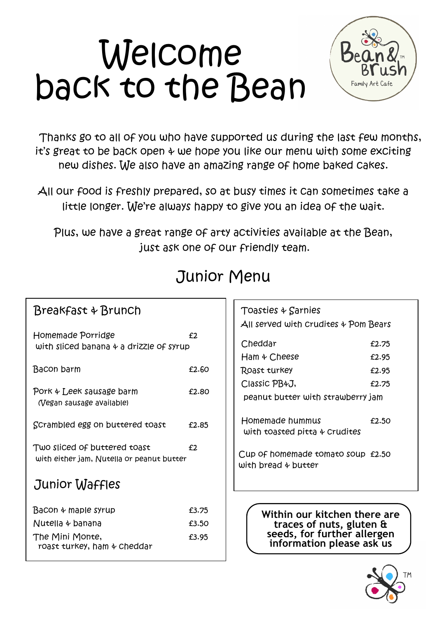# Welcome back to the Bean



Thanks go to all of you who have supported us during the last few months, it's great to be back open & we hope you like our menu with some exciting new dishes. We also have an amazing range of home baked cakes.

All our food is freshly prepared, so at busy times it can sometimes take a little longer. We're always happy to give you an idea of the wait.

Plus, we have a great range of arty activities available at the Bean, just ask one of our friendly team.

| Homemade Porridge<br>with sliced banana & a drizzle of syrup              | f2    |
|---------------------------------------------------------------------------|-------|
| Bacon barm                                                                | £2.60 |
| Pork + Leek sausage barm<br>(Vegan sausage available)                     | £2.80 |
| Scrambled egg on buttered toast                                           | £2.85 |
| Two sliced of buttered toast<br>with either jam, Nutella or peanut butter | £2    |
| Junior Waffles                                                            |       |
| Bacon & maple syrup                                                       | £3.75 |
| Nutella 4 banana                                                          | £3.50 |
| The Mini Monte,<br>roast turkey, ham & Cheddar                            | £3.95 |

Breakfast & Brunch

# Junior Menu

| Toasties + Sarnies<br>$All$ served with Crudites $\frac{1}{2}$ Pom Bears |       |
|--------------------------------------------------------------------------|-------|
| Cheddar                                                                  | £2.75 |
| Ham & Cheese                                                             | £2.95 |
| Roast turkey                                                             | £2.95 |
| Classic PB4J,                                                            | £2.75 |
| peanut butter with strawberry jam                                        |       |
| Homemade hummus<br>with toasted pitta $\phi$ Crudites                    | £2.50 |
| Cup of homemade tomato soup £2.50<br>with bread $\phi$ butter            |       |
|                                                                          |       |

**Within our kitchen there are traces of nuts, gluten & seeds, for further allergen information please ask us**